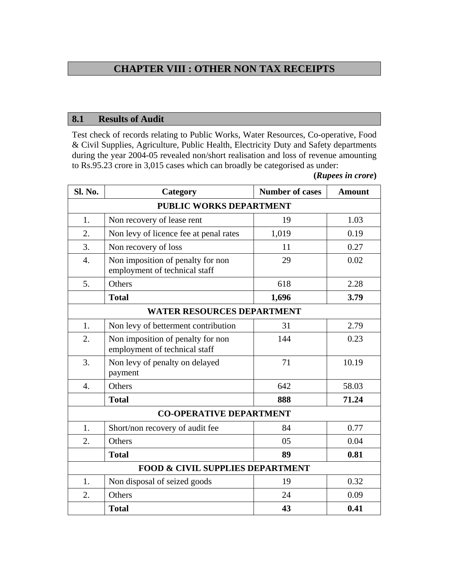## **CHAPTER VIII : OTHER NON TAX RECEIPTS**

## **8.1 Results of Audit**

Test check of records relating to Public Works, Water Resources, Co-operative, Food & Civil Supplies, Agriculture, Public Health, Electricity Duty and Safety departments during the year 2004-05 revealed non/short realisation and loss of revenue amounting to Rs.95.23 crore in 3,015 cases which can broadly be categorised as under:

**(***Rupees in crore***)** 

| Sl. No.                           | Category                                                           | <b>Number of cases</b> | <b>Amount</b> |  |
|-----------------------------------|--------------------------------------------------------------------|------------------------|---------------|--|
| PUBLIC WORKS DEPARTMENT           |                                                                    |                        |               |  |
| 1.                                | Non recovery of lease rent                                         | 19                     | 1.03          |  |
| 2.                                | Non levy of licence fee at penal rates                             | 1,019                  | 0.19          |  |
| 3.                                | Non recovery of loss                                               | 11                     | 0.27          |  |
| $\overline{4}$ .                  | Non imposition of penalty for non<br>employment of technical staff | 29                     | 0.02          |  |
| 5.                                | Others                                                             | 618                    | 2.28          |  |
|                                   | <b>Total</b>                                                       | 1,696                  | 3.79          |  |
| <b>WATER RESOURCES DEPARTMENT</b> |                                                                    |                        |               |  |
| 1.                                | Non levy of betterment contribution                                | 31                     | 2.79          |  |
| 2.                                | Non imposition of penalty for non<br>employment of technical staff | 144                    | 0.23          |  |
| 3.                                | Non levy of penalty on delayed<br>payment                          | 71                     | 10.19         |  |
| $\overline{4}$ .                  | Others                                                             | 642                    | 58.03         |  |
|                                   | <b>Total</b>                                                       | 888                    | 71.24         |  |
|                                   | <b>CO-OPERATIVE DEPARTMENT</b>                                     |                        |               |  |
| 1.                                | Short/non recovery of audit fee                                    | 84                     | 0.77          |  |
| 2.                                | Others                                                             | 05                     | 0.04          |  |
|                                   | <b>Total</b>                                                       | 89                     | 0.81          |  |
|                                   | <b>FOOD &amp; CIVIL SUPPLIES DEPARTMENT</b>                        |                        |               |  |
| 1.                                | Non disposal of seized goods                                       | 19                     | 0.32          |  |
| 2.                                | Others                                                             | 24                     | 0.09          |  |
|                                   | <b>Total</b>                                                       | 43                     | 0.41          |  |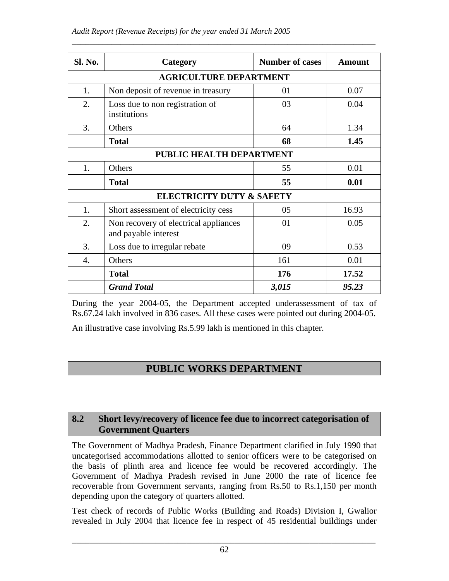| <b>Sl. No.</b>                | Category                                                      | <b>Number of cases</b> | <b>Amount</b> |  |  |
|-------------------------------|---------------------------------------------------------------|------------------------|---------------|--|--|
| <b>AGRICULTURE DEPARTMENT</b> |                                                               |                        |               |  |  |
| 1.                            | Non deposit of revenue in treasury                            | 01                     | 0.07          |  |  |
| 2.                            | Loss due to non registration of<br>institutions               | 03                     | 0.04          |  |  |
| 3.                            | Others                                                        | 64                     | 1.34          |  |  |
|                               | <b>Total</b>                                                  | 68                     | 1.45          |  |  |
|                               | PUBLIC HEALTH DEPARTMENT                                      |                        |               |  |  |
| 1.                            | Others                                                        | 55                     | 0.01          |  |  |
|                               | <b>Total</b>                                                  | 55                     | 0.01          |  |  |
|                               | <b>ELECTRICITY DUTY &amp; SAFETY</b>                          |                        |               |  |  |
| 1.                            | Short assessment of electricity cess                          | 05                     | 16.93         |  |  |
| 2.                            | Non recovery of electrical appliances<br>and payable interest | 01                     | 0.05          |  |  |
| 3.                            | Loss due to irregular rebate                                  | 09                     | 0.53          |  |  |
| 4.                            | Others                                                        | 161                    | 0.01          |  |  |
|                               | <b>Total</b>                                                  | 176                    | 17.52         |  |  |
|                               | <b>Grand Total</b>                                            | 3,015                  | 95.23         |  |  |

\_\_\_\_\_\_\_\_\_\_\_\_\_\_\_\_\_\_\_\_\_\_\_\_\_\_\_\_\_\_\_\_\_\_\_\_\_\_\_\_\_\_\_\_\_\_\_\_\_\_\_\_\_\_\_\_\_\_\_\_\_\_\_\_\_\_\_\_\_

During the year 2004-05, the Department accepted underassessment of tax of Rs.67.24 lakh involved in 836 cases. All these cases were pointed out during 2004-05.

An illustrative case involving Rs.5.99 lakh is mentioned in this chapter.

## **PUBLIC WORKS DEPARTMENT**

## **8.2 Short levy/recovery of licence fee due to incorrect categorisation of Government Quarters**

The Government of Madhya Pradesh, Finance Department clarified in July 1990 that uncategorised accommodations allotted to senior officers were to be categorised on the basis of plinth area and licence fee would be recovered accordingly. The Government of Madhya Pradesh revised in June 2000 the rate of licence fee recoverable from Government servants, ranging from Rs.50 to Rs.1,150 per month depending upon the category of quarters allotted.

Test check of records of Public Works (Building and Roads) Division I, Gwalior revealed in July 2004 that licence fee in respect of 45 residential buildings under